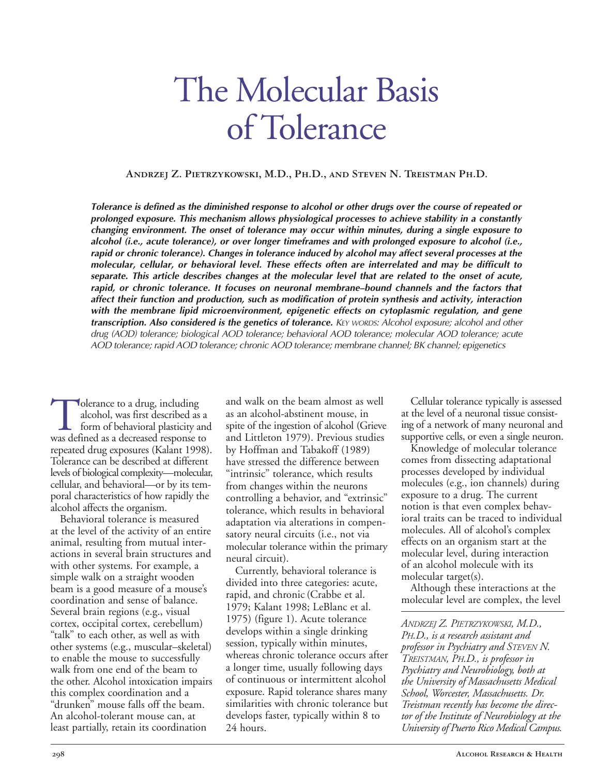# The Molecular Basis of Tolerance

**Andrzej Z. Pietrzykowski, M.D., Ph.D., and Steven N. Treistman Ph.D.**

Tolerance is defined as the diminished response to alcohol or other drugs over the course of repeated or *prolonged exposure. This mechanism allows physiological processes to achieve stability in a constantly changing environment. The onset of tolerance may occur within minutes, during a single exposure to alcohol (i.e., acute tolerance), or over longer timeframes and with prolonged exposure to alcohol (i.e., rapid or chronic tolerance). Changes in tolerance induced by alcohol may affect several processes at the molecular, cellular, or behavioral level. These effects often are interrelated and may be difficult to separate. This article describes changes at the molecular level that are related to the onset of acute, rapid, or chronic tolerance. It focuses on neuronal membrane–bound channels and the factors that affect their function and production, such as modification of protein synthesis and activity, interaction with the membrane lipid microenvironment, epigenetic effects on cytoplasmic regulation, and gene transcription. Also considered is the genetics of tolerance. KEY WORDS: Alcohol exposure; alcohol and other drug (AOD) tolerance; biological AOD tolerance; behavioral AOD tolerance; molecular AOD tolerance; acute AOD tolerance; rapid AOD tolerance; chronic AOD tolerance; membrane channel; BK channel; epigenetics*

at the level of the activity of an entire<br>
animal, resulting from mutual inter-<br>
actions in several brain structures and<br>
with other systems. For example, a<br>
simple walk on a straight wooden<br>
corrently, behavioral toleranc walk from one end of the beam to a longer time, usually following days the other. Alcohol intoxication impairs of continuous or intermittent alcohol

Tolerance to a drug, including and walk on the beam almost as well Cellular tolerance typically is assessed<br>alcohol, was first described as a an alcohol-abstinent mouse, in the level of a neuronal tissue consist-<br>form of b was defined as a decreased response to and Littleton 1979). Previous studies supportive cells, or even a single neuror repeated drug exposures (Kalant 1998). by Hoffman and Tabakoff (1989) Knowledge of molecular tolerance repeated drug exposures (Kalant 1998). by Hoffman and Tabakoff (1989) Knowledge of molecular tolerance Tolerance can be described at different have stressed the difference between comes from dissecting adaptationa<br>levels of biological complexity—molecular, "intrinsic" tolerance, which results processes developed by individu levels of biological complexity—molecular, "intrinsic" tolerance, which results processes developed by individual cellular, and behavioral—or by its tem-<br>
poral characteristics of how rapidly the controlling a behavior and "extrinsic" exposure to a drug. The current poral characteristics of how rapidly the controlling a behavior, and "extrinsic" exposure to a drug. The current<br>alcohol affects the organism. tolerance, which results in behavioral notion is that even complex behavcohol affects the organism.<br>Behavioral tolerance is measured adoptation via alterations in compensional traits can be traced to individual Behavioral tolerance is measured adaptation via alterations in compen-<br>at the level of the activity of an entire<br>story neural circuits (i.e., not via molecules. All of alcohol's complex

session, typically within minutes,<br>ther systems (e.g., muscular–skeletal) *professor in Psychiatry and STEVEN N*.<br>to enable the mouse to successfully whereas chronic tolerance occurs after *TREISTMAN, PH.D., is professor i* to enable the mouse to successfully *alonger* time, usually following days *TREISTMAN, PH.D., is professor in*<br> *in a longer* time, usually following days *Psychiatry and Neurobiology, both at* the other. Alcohol intoxication impairs of continuous or intermittent alcohol *the University of Massachusetts Medical* this complex coordination and a exposure. Rapid tolerance shares many *School, Worcester, Massachusetts. Dr.* "drunken" mouse falls off the beam. similarities with chronic tolerance but *Treistman recently has become the direc-*An alcoholtolerant mouse can, at develops faster, typically within 8 to *tor of the Institute of Neurobiology at the* least partially, retain its coordination 24 hours. *University of Puerto Rico Medical Campus.*

valerance to a drug, including and walk on the beam almost as well Cellular tolerance typically is assessed<br>alcohol, was first described as a as an alcohol-abstinent mouse, in at the level of a neuronal tissue consist-<br>for form of behavioral plasticity and spite of the ingestion of alcohol (Grieve ing of a network of many neuronal and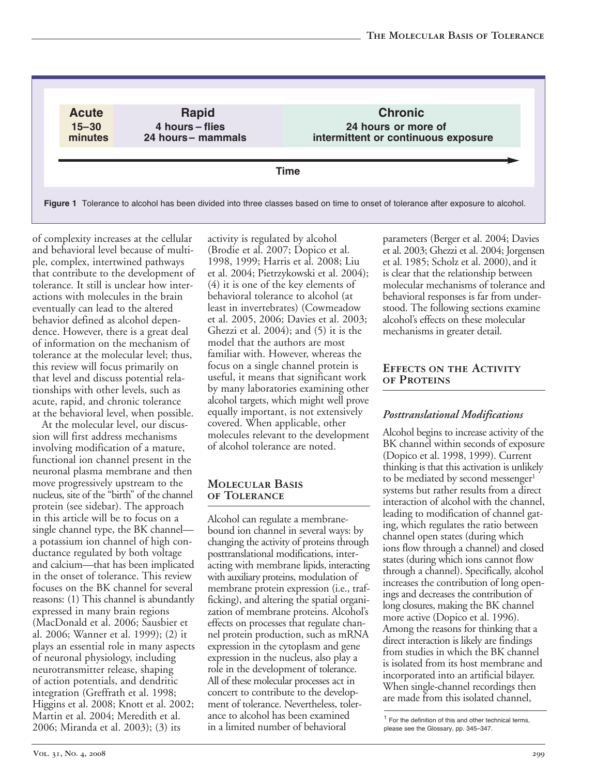**Acu e 5–30**  $minutes$ 

**Rapid 4 hou s – es 24 hou s– mamma s**

**Chronic 24 hours or more of**<br>
24 hours or more of<br>
24 hours or more of<br>
28 to onset of tolerance after **intermittent or continuous exposure** 

**T me**

**Figure 1** Tolerance to alcohol has been divided into three classes based on time to onset of tolerance after exposure to alcohol.

of complexity increases at the cellular and behavioral level because of multiple, complex, intertwined pathways that contribute to the development of tolerance. It still is unclear how interactions with molecules in the brain eventually can lead to the altered behavior defined as alcohol dependence. However, there is a great deal of information on the mechanism of tolerance at the molecular level; thus, this review will focus primarily on that level and discuss potential relationships with other levels, such as acute, rapid, and chronic tolerance at the behavioral level, when possible.

At the molecular level, our discussion will first address mechanisms involving modification of a mature, functional ion channel present in the neuronal plasma membrane and then move progressively upstream to the nucleus, site of the "birth" of the channel protein (see sidebar). The approach in this article will be to focus on a single channel type, the BK channel a potassium ion channel of high conductance regulated by both voltage and calcium—that has been implicated in the onset of tolerance. This review focuses on the BK channel for several reasons: (1) This channel is abundantly expressed in many brain regions (MacDonald et al. 2006; Sausbier et al. 2006; Wanner et al. 1999); (2) it plays an essential role in many aspects of neuronal physiology, including neurotransmitter release, shaping of action potentials, and dendritic integration (Greffrath et al. 1998; Higgins et al. 2008; Knott et al. 2002; Martin et al. 2004; Meredith et al. 2006; Miranda et al. 2003); (3) its

activity is regulated by alcohol (Brodie et al. 2007; Dopico et al. 1998, 1999; Harris et al. 2008; Liu et al. 2004; Pietrzykowski et al. 2004); (4) it is one of the key elements of behavioral tolerance to alcohol (at least in invertebrates) (Cowmeadow et al. 2005, 2006; Davies et al. 2003; Ghezzi et al. 2004); and (5) it is the model that the authors are most familiar with. However, whereas the focus on a single channel protein is useful, it means that significant work by many laboratories examining other alcohol targets, which might well prove equally important, is not extensively covered. When applicable, other molecules relevant to the development of alcohol tolerance are noted.

## **Molecular Basis of Tolerance**

Alcohol can regulate a membranebound ion channel in several ways: by changing the activity of proteins through posttranslational modifications, interacting with membrane lipids, interacting with auxiliary proteins, modulation of membrane protein expression (i.e., trafficking), and altering the spatial organization of membrane proteins. Alcohol's effects on processes that regulate channel protein production, such as mRNA expression in the cytoplasm and gene expression in the nucleus, also play a role in the development of tolerance. All of these molecular processes act in concert to contribute to the development of tolerance. Nevertheless, tolerance to alcohol has been examined in a limited number of behavioral

parameters (Berger et al. 2004; Davies et al. 2003; Ghezzi et al. 2004; Jorgensen et al. 1985; Scholz et al. 2000), and it is clear that the relationship between molecular mechanisms of tolerance and behavioral responses is far from understood. The following sections examine alcohol's effects on these molecular mechanisms in greater detail.

### **Effects on the Activity of Proteins**

## *Posttranslational Modifications*

Alcohol begins to increase activity of the BK channel within seconds of exposure (Dopico et al. 1998, 1999). Current thinking is that this activation is unlikely to be mediated by second messenger<sup>1</sup> systems but rather results from a direct interaction of alcohol with the channel, leading to modification of channel gating, which regulates the ratio between channel open states (during which ions flow through a channel) and closed states (during which ions cannot flow through a channel). Specifically, alcohol increases the contribution of long openings and decreases the contribution of long closures, making the BK channel more active (Dopico et al. 1996). Among the reasons for thinking that a direct interaction is likely are findings from studies in which the BK channel is isolated from its host membrane and incorporated into an artificial bilayer. When single-channel recordings then are made from this isolated channel,

<sup>1</sup> For the definition of this and other technical terms, please see the Glossary, pp. 345–347.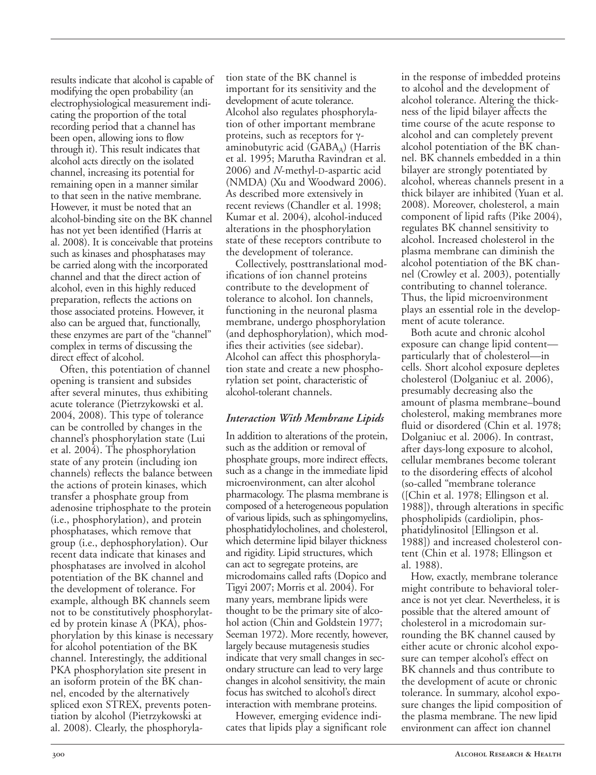results indicate that alcohol is capable of modifying the open probability (an electrophysiological measurement indicating the proportion of the total recording period that a channel has been open, allowing ions to flow through it). This result indicates that alcohol acts directly on the isolated channel, increasing its potential for remaining open in a manner similar to that seen in the native membrane. However, it must be noted that an alcohol-binding site on the BK channel has not yet been identified (Harris at al. 2008). It is conceivable that proteins such as kinases and phosphatases may be carried along with the incorporated channel and that the direct action of alcohol, even in this highly reduced preparation, reflects the actions on those associated proteins. However, it also can be argued that, functionally, these enzymes are part of the "channel" complex in terms of discussing the direct effect of alcohol.

Often, this potentiation of channel opening is transient and subsides after several minutes, thus exhibiting acute tolerance (Pietrzykowski et al. 2004, 2008). This type of tolerance can be controlled by changes in the channel's phosphorylation state (Lui et al. 2004). The phosphorylation state of any protein (including ion channels) reflects the balance between the actions of protein kinases, which transfer a phosphate group from adenosine triphosphate to the protein (i.e., phosphorylation), and protein phosphatases, which remove that group (i.e., dephosphorylation). Our recent data indicate that kinases and phosphatases are involved in alcohol potentiation of the BK channel and the development of tolerance. For example, although BK channels seem not to be constitutively phosphorylated by protein kinase A (PKA), phosphorylation by this kinase is necessary for alcohol potentiation of the BK channel. Interestingly, the additional PKA phosphorylation site present in an isoform protein of the BK channel, encoded by the alternatively spliced exon STREX, prevents potentiation by alcohol (Pietrzykowski at al. 2008). Clearly, the phosphorylation state of the BK channel is important for its sensitivity and the development of acute tolerance. Alcohol also regulates phosphorylation of other important membrane proteins, such as receptors for γaminobutyric acid  $(GABA_A)$  (Harris et al. 1995; Marutha Ravindran et al. 2006) and *N*-methyl-D-aspartic acid (NMDA) (Xu and Woodward 2006). As described more extensively in recent reviews (Chandler et al. 1998; Kumar et al. 2004), alcohol-induced alterations in the phosphorylation state of these receptors contribute to the development of tolerance.

Collectively, posttranslational modifications of ion channel proteins contribute to the development of tolerance to alcohol. Ion channels, functioning in the neuronal plasma membrane, undergo phosphorylation (and dephosphorylation), which modifies their activities (see sidebar). Alcohol can affect this phosphorylation state and create a new phosphorylation set point, characteristic of alcohol-tolerant channels.

## *Interaction With Membrane Lipids*

In addition to alterations of the protein, such as the addition or removal of phosphate groups, more indirect effects, such as a change in the immediate lipid microenvironment, can alter alcohol pharmacology. The plasma membrane is composed of a heterogeneous population of various lipids, such as sphingomyelins, phosphatidylocholines, and cholesterol, which determine lipid bilayer thickness and rigidity. Lipid structures, which can act to segregate proteins, are microdomains called rafts (Dopico and Tigyi 2007; Morris et al. 2004). For many years, membrane lipids were thought to be the primary site of alcohol action (Chin and Goldstein 1977; Seeman 1972). More recently, however, largely because mutagenesis studies indicate that very small changes in secondary structure can lead to very large changes in alcohol sensitivity, the main focus has switched to alcohol's direct interaction with membrane proteins.

However, emerging evidence indicates that lipids play a significant role in the response of imbedded proteins to alcohol and the development of alcohol tolerance. Altering the thickness of the lipid bilayer affects the time course of the acute response to alcohol and can completely prevent alcohol potentiation of the BK channel. BK channels embedded in a thin bilayer are strongly potentiated by alcohol, whereas channels present in a thick bilayer are inhibited (Yuan et al. 2008). Moreover, cholesterol, a main component of lipid rafts (Pike 2004), regulates BK channel sensitivity to alcohol. Increased cholesterol in the plasma membrane can diminish the alcohol potentiation of the BK channel (Crowley et al. 2003), potentially contributing to channel tolerance. Thus, the lipid microenvironment plays an essential role in the development of acute tolerance.

Both acute and chronic alcohol exposure can change lipid content particularly that of cholesterol—in cells. Short alcohol exposure depletes cholesterol (Dolganiuc et al. 2006), presumably decreasing also the amount of plasma membrane–bound cholesterol, making membranes more fluid or disordered (Chin et al. 1978; Dolganiuc et al. 2006). In contrast, after days-long exposure to alcohol, cellular membranes become tolerant to the disordering effects of alcohol (so-called "membrane tolerance") ([Chin et al. 1978; Ellingson et al. 1988]), through alterations in specific phospholipids (cardiolipin, phosphatidylinositol [Ellingson et al. 1988]) and increased cholesterol content (Chin et al. 1978; Ellingson et al. 1988).

How, exactly, membrane tolerance might contribute to behavioral tolerance is not yet clear. Nevertheless, it is possible that the altered amount of cholesterol in a microdomain surrounding the BK channel caused by either acute or chronic alcohol exposure can temper alcohol's effect on BK channels and thus contribute to the development of acute or chronic tolerance. In summary, alcohol exposure changes the lipid composition of the plasma membrane. The new lipid environment can affect ion channel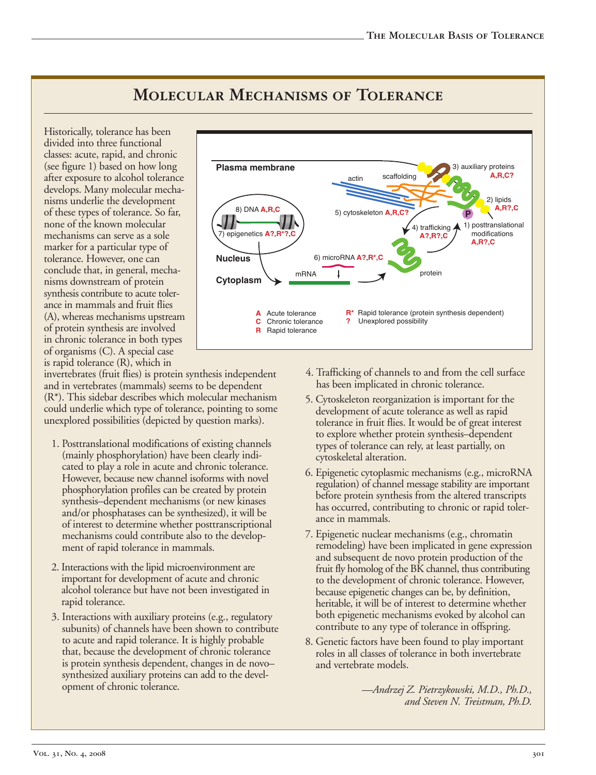#### Historically, tolerance has been divided into three functional classes: acute, rapid, and chronic (see figure 1) based on how long after exposure to alcohol tolerance develops. Many molecular mechanisms underlie the development of these types of tolerance. So far, none of the known molecular mechanisms can serve as a sole marker for a particular type of tolerance. However, one can conclude that, in general, mechanisms downstream of protein synthesis contribute to acute tolerance in mammals and fruit flies (A), whereas mechanisms upstream of protein synthesis are involved in chronic tolerance in both types 8 DNA **A R C** 7 ep ge e c **A? R ? C** mRNA 6 m c oRNA **A? R C** protein actin scaffolding 3) auxiliary proteins **A R C?** 2) lipids **A R? C** 4) trafficking  $\blacktriangle$ **A? R? C Cy op asm Nucleus Plasma** membrane 5) cytoskeleton **A.R.C** 1) posttranslational modifications **A R? C A** Acute tolerance **C** Chronic tolerance **R** Rapid tolerance **R<sup>\*</sup>** Rapid tolerance (protein synthesis dependent)<br>**?** Unexplored possibility **Unexplored possibility**

## **Molecular Mechanisms of Tolerance**

is rapid tolerance (R), which in invertebrates (fruit flies) is protein synthesis independent and in vertebrates (mammals) seems to be dependent (R\*). This sidebar describes which molecular mechanism could underlie which type of tolerance, pointing to some unexplored possibilities (depicted by question marks).

of organisms (C). A special case

- 1. Posttranslational modifications of existing channels (mainly phosphorylation) have been clearly indicated to play a role in acute and chronic tolerance. However, because new channel isoforms with novel phosphorylation profiles can be created by protein synthesis–dependent mechanisms (or new kinases and/or phosphatases can be synthesized), it will be of interest to determine whether posttranscriptional mechanisms could contribute also to the development of rapid tolerance in mammals.
- 2. Interactions with the lipid microenvironment are important for development of acute and chronic alcohol tolerance but have not been investigated in rapid tolerance.
- 3. Interactions with auxiliary proteins (e.g., regulatory subunits) of channels have been shown to contribute to acute and rapid tolerance. It is highly probable that, because the development of chronic tolerance is protein synthesis dependent, changes in de novo– synthesized auxiliary proteins can add to the development of chronic tolerance.
- 4. Trafficking of channels to and from the cell surface has been implicated in chronic tolerance.
- 5. Cytoskeleton reorganization is important for the development of acute tolerance as well as rapid tolerance in fruit flies. It would be of great interest to explore whether protein synthesis–dependent types of tolerance can rely, at least partially, on cytoskeletal alteration.
- 6. Epigenetic cytoplasmic mechanisms (e.g., microRNA regulation) of channel message stability are important before protein synthesis from the altered transcripts has occurred, contributing to chronic or rapid tolerance in mammals.
- 7. Epigenetic nuclear mechanisms (e.g., chromatin remodeling) have been implicated in gene expression and subsequent de novo protein production of the fruit fly homolog of the BK channel, thus contributing to the development of chronic tolerance. However, because epigenetic changes can be, by definition, heritable, it will be of interest to determine whether both epigenetic mechanisms evoked by alcohol can contribute to any type of tolerance in offspring.
- 8. Genetic factors have been found to play important roles in all classes of tolerance in both invertebrate and vertebrate models.

*—Andrzej Z. Pietrzykowski, M.D., Ph.D., and Steven N. Treistman, Ph.D.*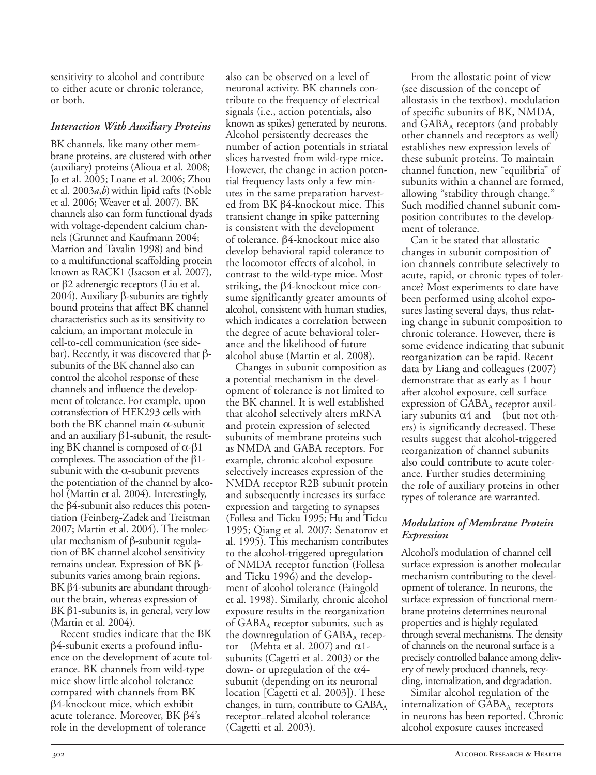sensitivity to alcohol and contribute to either acute or chronic tolerance, or both.

## *Interaction With Auxiliary Proteins*

BK channels, like many other membrane proteins, are clustered with other (auxiliary) proteins (Alioua et al. 2008; Jo et al. 2005; Loane et al. 2006; Zhou et al. 2003*a*,*b*) within lipid rafts (Noble et al. 2006; Weaver et al. 2007). BK channels also can form functional dyads with voltage-dependent calcium channels (Grunnet and Kaufmann 2004; Marrion and Tavalin 1998) and bind to a multifunctional scaffolding protein known as RACK1 (Isacson et al. 2007), or β2 adrenergic receptors (Liu et al. 2004). Auxiliary β-subunits are tightly bound proteins that affect BK channel characteristics such as its sensitivity to calcium, an important molecule in cell-to-cell communication (see sidebar). Recently, it was discovered that βsubunits of the BK channel also can control the alcohol response of these channels and influence the development of tolerance. For example, upon cotransfection of HEK293 cells with both the BK channel main  $\alpha$ -subunit and an auxiliary  $\beta$ 1-subunit, the resulting BK channel is composed of  $\alpha$ - $\beta$ 1 complexes. The association of the  $β1$ subunit with the  $\alpha$ -subunit prevents the potentiation of the channel by alcohol (Martin et al. 2004). Interestingly, the  $\beta$ 4-subunit also reduces this potentiation (Feinberg-Zadek and Treistman 2007; Martin et al. 2004). The molecular mechanism of  $β$ -subunit regulation of BK channel alcohol sensitivity remains unclear. Expression of BK βsubunits varies among brain regions. BK  $β$ 4-subunits are abundant throughout the brain, whereas expression of BK  $β1$ -subunits is, in general, very low (Martin et al. 2004).

Recent studies indicate that the BK  $\beta$ 4-subunit exerts a profound influence on the development of acute tolerance. BK channels from wild-type mice show little alcohol tolerance compared with channels from BK β4knockout mice, which exhibit acute tolerance. Moreover, BK β4's role in the development of tolerance

also can be observed on a level of neuronal activity. BK channels contribute to the frequency of electrical signals (i.e., action potentials, also known as spikes) generated by neurons. Alcohol persistently decreases the number of action potentials in striatal slices harvested from wild-type mice. However, the change in action potential frequency lasts only a few minutes in the same preparation harvested from BK β4-knockout mice. This transient change in spike patterning is consistent with the development of tolerance. β4-knockout mice also develop behavioral rapid tolerance to the locomotor effects of alcohol, in contrast to the wild-type mice. Most striking, the  $\beta$ 4-knockout mice consume significantly greater amounts of alcohol, consistent with human studies, which indicates a correlation between the degree of acute behavioral tolerance and the likelihood of future alcohol abuse (Martin et al. 2008).

Changes in subunit composition as a potential mechanism in the development of tolerance is not limited to the BK channel. It is well established that alcohol selectively alters mRNA and protein expression of selected subunits of membrane proteins such as NMDA and GABA receptors. For example, chronic alcohol exposure selectively increases expression of the NMDA receptor R2B subunit protein and subsequently increases its surface expression and targeting to synapses (Follesa and Ticku 1995; Hu and Ticku 1995; Qiang et al. 2007; Senatorov et al. 1995). This mechanism contributes to the alcohol-triggered upregulation of NMDA receptor function (Follesa and Ticku 1996) and the development of alcohol tolerance (Faingold et al. 1998). Similarly, chronic alcohol exposure results in the reorganization of  $GABA<sub>A</sub>$  receptor subunits, such as the downregulation of  $GABA<sub>A</sub>$  receptor (Mehta et al. 2007) and  $\alpha$ 1subunits (Cagetti et al. 2003) or the down- or upregulation of the  $\alpha$ 4subunit (depending on its neuronal location [Cagetti et al. 2003]). These changes, in turn, contribute to  $GABA_A$ receptor–related alcohol tolerance (Cagetti et al. 2003).

From the allostatic point of view (see discussion of the concept of allostasis in the textbox), modulation of specific subunits of BK, NMDA, and  $GABA_A$  receptors (and probably other channels and receptors as well) establishes new expression levels of these subunit proteins. To maintain channel function, new "equilibria" of subunits within a channel are formed, allowing "stability through change." Such modified channel subunit composition contributes to the development of tolerance.

iary subunits  $\alpha4$  and (but not oth-Can it be stated that allostatic changes in subunit composition of ion channels contribute selectively to acute, rapid, or chronic types of tolerance? Most experiments to date have been performed using alcohol exposures lasting several days, thus relating change in subunit composition to chronic tolerance. However, there is some evidence indicating that subunit reorganization can be rapid. Recent data by Liang and colleagues (2007) demonstrate that as early as 1 hour after alcohol exposure, cell surface expression of  $GABA_A$  receptor auxilers) is significantly decreased. These results suggest that alcohol-triggered reorganization of channel subunits also could contribute to acute tolerance. Further studies determining the role of auxiliary proteins in other types of tolerance are warranted.

## *Modulation of Membrane Protein Expression*

Alcohol's modulation of channel cell surface expression is another molecular mechanism contributing to the development of tolerance. In neurons, the surface expression of functional membrane proteins determines neuronal properties and is highly regulated through several mechanisms. The density of channels on the neuronal surface is a precisely controlled balance among delivery of newly produced channels, recycling, internalization, and degradation.

Similar alcohol regulation of the internalization of  $GABA_A$  receptors in neurons has been reported. Chronic alcohol exposure causes increased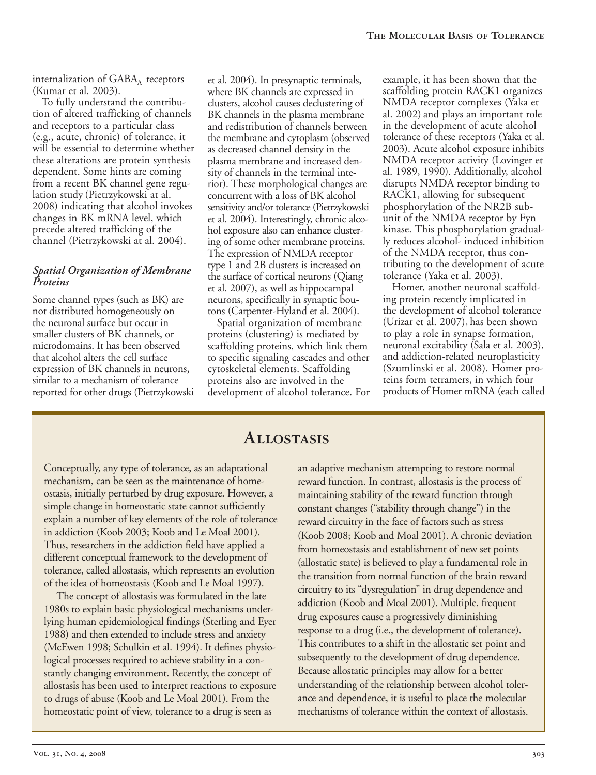internalization of  $GABA_A$  receptors (Kumar et al. 2003).

To fully understand the contribution of altered trafficking of channels and receptors to a particular class (e.g., acute, chronic) of tolerance, it will be essential to determine whether these alterations are protein synthesis dependent. Some hints are coming from a recent BK channel gene regulation study (Pietrzykowski at al. 2008) indicating that alcohol invokes changes in BK mRNA level, which precede altered trafficking of the channel (Pietrzykowski at al. 2004).

## *Spatial Organization of Membrane Proteins*

Some channel types (such as BK) are not distributed homogeneously on the neuronal surface but occur in smaller clusters of BK channels, or microdomains. It has been observed that alcohol alters the cell surface expression of BK channels in neurons, similar to a mechanism of tolerance reported for other drugs (Pietrzykowski et al. 2004). In presynaptic terminals, where BK channels are expressed in clusters, alcohol causes declustering of BK channels in the plasma membrane and redistribution of channels between the membrane and cytoplasm (observed as decreased channel density in the plasma membrane and increased density of channels in the terminal interior). These morphological changes are concurrent with a loss of BK alcohol sensitivity and/or tolerance(Pietrzykowski et al. 2004). Interestingly, chronic alcohol exposure also can enhance clustering of some other membrane proteins. The expression of NMDA receptor type 1 and 2B clusters is increased on the surface of cortical neurons (Qiang et al. 2007), as well as hippocampal neurons, specifically in synaptic boutons (Carpenter-Hyland et al. 2004).

Spatial organization of membrane proteins (clustering) is mediated by scaffolding proteins, which link them to specific signaling cascades and other cytoskeletal elements. Scaffolding proteins also are involved in the development of alcohol tolerance. For example, it has been shown that the scaffolding protein RACK1 organizes NMDA receptor complexes (Yaka et al. 2002) and plays an important role in the development of acute alcohol tolerance of these receptors (Yaka et al. 2003). Acute alcohol exposure inhibits NMDA receptor activity (Lovinger et al. 1989, 1990). Additionally, alcohol disrupts NMDA receptor binding to RACK1, allowing for subsequent phosphorylation of the NR2B subunit of the NMDA receptor by Fyn kinase. This phosphorylation gradually reduces alcohol- induced inhibition of the NMDA receptor, thus contributing to the development of acute tolerance (Yaka et al. 2003).

Homer, another neuronal scaffolding protein recently implicated in the development of alcohol tolerance (Urizar et al. 2007), has been shown to play a role in synapse formation, neuronal excitability (Sala et al. 2003), and addiction-related neuroplasticity (Szumlinski et al. 2008). Homer proteins form tetramers, in which four products of Homer mRNA (each called

## **Allostasis**

Conceptually, any type of tolerance, as an adaptational mechanism, can be seen as the maintenance of homeostasis, initially perturbed by drug exposure. However, a simple change in homeostatic state cannot sufficiently explain a number of key elements of the role of tolerance in addiction (Koob 2003; Koob and Le Moal 2001). Thus, researchers in the addiction field have applied a different conceptual framework to the development of tolerance, called allostasis, which represents an evolution of the idea of homeostasis (Koob and Le Moal 1997).

The concept of allostasis was formulated in the late 1980s to explain basic physiological mechanisms underlying human epidemiological findings (Sterling and Eyer 1988) and then extended to include stress and anxiety (McEwen 1998; Schulkin et al. 1994). It defines physiological processes required to achieve stability in a constantly changing environment. Recently, the concept of allostasis has been used to interpret reactions to exposure to drugs of abuse (Koob and Le Moal 2001). From the homeostatic point of view, tolerance to a drug is seen as

an adaptive mechanism attempting to restore normal reward function. In contrast, allostasis is the process of maintaining stability of the reward function through constant changes ("stability through change") in the reward circuitry in the face of factors such as stress (Koob 2008; Koob and Moal 2001). A chronic deviation from homeostasis and establishment of new set points (allostatic state) is believed to play a fundamental role in the transition from normal function of the brain reward circuitry to its "dysregulation" in drug dependence and addiction (Koob and Moal 2001). Multiple, frequent drug exposures cause a progressively diminishing response to a drug (i.e., the development of tolerance). This contributes to a shift in the allostatic set point and subsequently to the development of drug dependence. Because allostatic principles may allow for a better understanding of the relationship between alcohol tolerance and dependence, it is useful to place the molecular mechanisms of tolerance within the context of allostasis.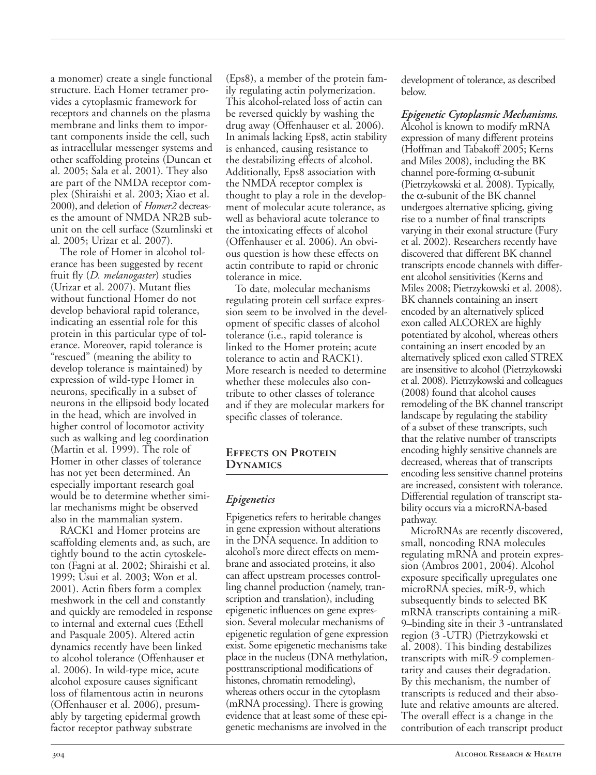a monomer) create a single functional structure. Each Homer tetramer provides a cytoplasmic framework for receptors and channels on the plasma membrane and links them to important components inside the cell, such as intracellular messenger systems and other scaffolding proteins (Duncan et

al. 2005; Sala et al. 2001). They also are part of the NMDA receptor complex (Shiraishi et al. 2003; Xiao et al. 2000), and deletion of *Homer2* decreases the amount of NMDA NR2B subunit on the cell surface (Szumlinski et al. 2005; Urizar et al. 2007).

The role of Homer in alcohol tolerance has been suggested by recent fruit fly (*D. melanogaster*) studies (Urizar et al. 2007). Mutant flies without functional Homer do not develop behavioral rapid tolerance, indicating an essential role for this protein in this particular type of tolerance. Moreover, rapid tolerance is "rescued" (meaning the ability to develop tolerance is maintained) by expression of wild-type Homer in neurons, specifically in a subset of neurons in the ellipsoid body located in the head, which are involved in higher control of locomotor activity such as walking and leg coordination (Martin et al. 1999). The role of Homer in other classes of tolerance has not yet been determined. An especially important research goal would be to determine whether similar mechanisms might be observed also in the mammalian system.

RACK1 and Homer proteins are scaffolding elements and, as such, are tightly bound to the actin cytoskeleton (Fagni at al. 2002; Shiraishi et al. 1999; Usui et al. 2003; Won et al. 2001). Actin fibers form a complex meshwork in the cell and constantly and quickly are remodeled in response to internal and external cues (Ethell and Pasquale 2005). Altered actin dynamics recently have been linked to alcohol tolerance (Offenhauser et al. 2006). In wild-type mice, acute alcohol exposure causes significant loss of filamentous actin in neurons (Offenhauser et al. 2006), presumably by targeting epidermal growth factor receptor pathway substrate

(Eps8), a member of the protein family regulating actin polymerization. This alcohol-related loss of actin can be reversed quickly by washing the drug away (Offenhauser et al. 2006). In animals lacking Eps8, actin stability is enhanced, causing resistance to the destabilizing effects of alcohol. Additionally, Eps8 association with the NMDA receptor complex is thought to play a role in the development of molecular acute tolerance, as well as behavioral acute tolerance to the intoxicating effects of alcohol (Offenhauser et al. 2006). An obvious question is how these effects on actin contribute to rapid or chronic tolerance in mice.

To date, molecular mechanisms regulating protein cell surface expression seem to be involved in the development of specific classes of alcohol tolerance (i.e., rapid tolerance is linked to the Homer protein; acute tolerance to actin and RACK1). More research is needed to determine whether these molecules also contribute to other classes of tolerance and if they are molecular markers for specific classes of tolerance.

## **Effects on Protein Dynamics**

## *Epigenetics*

Epigenetics refers to heritable changes in gene expression without alterations in the DNA sequence. In addition to alcohol's more direct effects on membrane and associated proteins, it also can affect upstream processes controlling channel production (namely, transcription and translation), including epigenetic influences on gene expression. Several molecular mechanisms of epigenetic regulation of gene expression exist. Some epigenetic mechanisms take place in the nucleus (DNA methylation, posttranscriptional modifications of histones, chromatin remodeling), whereas others occur in the cytoplasm (mRNA processing). There is growing evidence that at least some of these epigenetic mechanisms are involved in the

development of tolerance, as described below.

*Epigenetic Cytoplasmic Mechanisms.* Alcohol is known to modify mRNA expression of many different proteins (Hoffman and Tabakoff 2005; Kerns and Miles 2008), including the BK channel pore-forming  $\alpha$ -subunit (Pietrzykowski et al. 2008). Typically, the  $\alpha$ -subunit of the BK channel undergoes alternative splicing, giving rise to a number of final transcripts varying in their exonal structure (Fury et al. 2002). Researchers recently have discovered that different BK channel transcripts encode channels with different alcohol sensitivities (Kerns and Miles 2008; Pietrzykowski et al. 2008). BK channels containing an insert encoded by an alternatively spliced exon called ALCOREX are highly potentiated by alcohol, whereas others containing an insert encoded by an alternatively spliced exon called STREX are insensitive to alcohol (Pietrzykowski et al. 2008). Pietrzykowski and colleagues (2008) found that alcohol causes remodeling of the BK channel transcript landscape by regulating the stability of a subset of these transcripts, such that the relative number of transcripts encoding highly sensitive channels are decreased, whereas that of transcripts encoding less sensitive channel proteins are increased, consistent with tolerance. Differential regulation of transcript stability occurs via a microRNA-based pathway.

′ 9–binding site in their 3 untranslated ′ region (3 UTR) (Pietrzykowski et MicroRNAs are recently discovered, small, noncoding RNA molecules regulating mRNA and protein expression (Ambros 2001, 2004). Alcohol exposure specifically upregulates one microRNA species, miR-9, which subsequently binds to selected BK mRNA transcripts containing a miRal. 2008). This binding destabilizes transcripts with miR-9 complementarity and causes their degradation. By this mechanism, the number of transcripts is reduced and their absolute and relative amounts are altered. The overall effect is a change in the contribution of each transcript product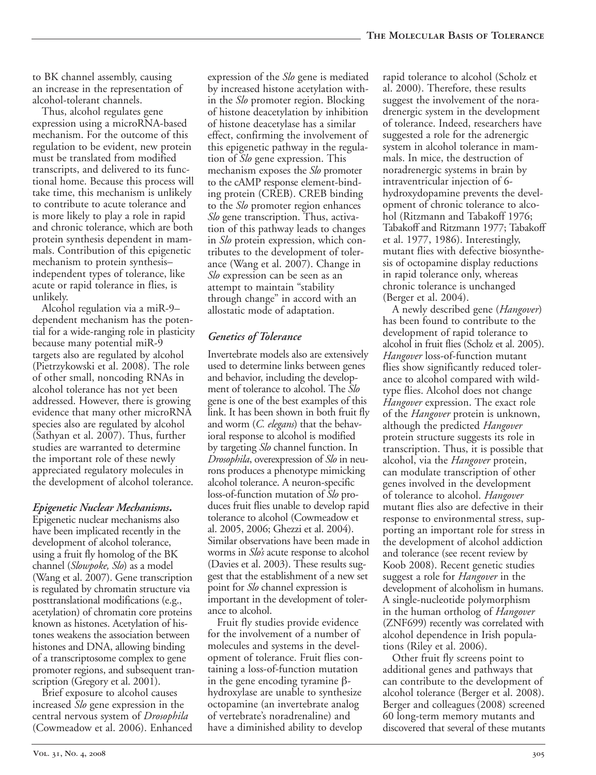to BK channel assembly, causing an increase in the representation of alcohol-tolerant channels.

Thus, alcohol regulates gene expression using a microRNA-based mechanism. For the outcome of this regulation to be evident, new protein must be translated from modified transcripts, and delivered to its functional home. Because this process will take time, this mechanism is unlikely to contribute to acute tolerance and is more likely to play a role in rapid and chronic tolerance, which are both protein synthesis dependent in mammals. Contribution of this epigenetic mechanism to protein synthesis– independent types of tolerance, like acute or rapid tolerance in flies, is unlikely.

Alcohol regulation via a miR-9– dependent mechanism has the potential for a wide-ranging role in plasticity because many potential miR-9 targets also are regulated by alcohol (Pietrzykowski et al. 2008). The role of other small, noncoding RNAs in alcohol tolerance has not yet been addressed. However, there is growing evidence that many other microRNA species also are regulated by alcohol (Sathyan et al. 2007). Thus, further studies are warranted to determine the important role of these newly appreciated regulatory molecules in the development of alcohol tolerance.

## *Epigenetic Nuclear Mechanisms.*

Epigenetic nuclear mechanisms also have been implicated recently in the development of alcohol tolerance, using a fruit fly homolog of the BK channel (*Slowpoke, Slo*) as a model (Wang et al. 2007). Gene transcription is regulated by chromatin structure via posttranslational modifications (e.g., acetylation) of chromatin core proteins known as histones. Acetylation of histones weakens the association between histones and DNA, allowing binding of a transcriptosome complex to gene promoter regions, and subsequent transcription (Gregory et al. 2001).

Brief exposure to alcohol causes increased *Slo* gene expression in the central nervous system of *Drosophila* (Cowmeadow et al. 2006). Enhanced

expression of the *Slo* gene is mediated by increased histone acetylation within the *Slo* promoter region. Blocking of histone deacetylation by inhibition of histone deacetylase has a similar effect, confirming the involvement of this epigenetic pathway in the regulation of *Slo* gene expression. This mechanism exposes the *Slo* promoter to the cAMP response element-binding protein (CREB). CREB binding to the *Slo* promoter region enhances *Slo* gene transcription. Thus, activation of this pathway leads to changes in *Slo* protein expression, which contributes to the development of tolerance (Wang et al. 2007). Change in *Slo* expression can be seen as an attempt to maintain "stability through change" in accord with an allostatic mode of adaptation.

## *Genetics of Tolerance*

Invertebrate models also are extensively used to determine links between genes and behavior, including the development of tolerance to alcohol. The *Slo* gene is one of the best examples of this link. It has been shown in both fruit fly and worm (*C. elegans*) that the behavioral response to alcohol is modified by targeting *Slo* channel function. In *Drosophila*, overexpression of *Slo* in neurons produces a phenotype mimicking alcohol tolerance. A neuron-specific loss-of-function mutation of *Slo* produces fruit flies unable to develop rapid tolerance to alcohol (Cowmeadow et al. 2005, 2006; Ghezzi et al. 2004). Similar observations have been made in worms in *Slo's* acute response to alcohol (Davies et al. 2003). These results suggest that the establishment of a new set point for *Slo* channel expression is important in the development of tolerance to alcohol.

Fruit fly studies provide evidence for the involvement of a number of molecules and systems in the development of tolerance. Fruit flies containing a loss-of-function mutation in the gene encoding tyramine βhydroxylase are unable to synthesize octopamine (an invertebrate analog of vertebrate's noradrenaline) and have a diminished ability to develop rapid tolerance to alcohol (Scholz et al. 2000). Therefore, these results suggest the involvement of the noradrenergic system in the development of tolerance. Indeed, researchers have suggested a role for the adrenergic system in alcohol tolerance in mammals. In mice, the destruction of noradrenergic systems in brain by intraventricular injection of 6 hydroxydopamine prevents the development of chronic tolerance to alcohol (Ritzmann and Tabakoff 1976; Tabakoff and Ritzmann 1977; Tabakoff et al. 1977, 1986). Interestingly, mutant flies with defective biosynthesis of octopamine display reductions in rapid tolerance only, whereas chronic tolerance is unchanged (Berger et al. 2004).

A newly described gene (*Hangover*) has been found to contribute to the development of rapid tolerance to alcohol in fruit flies (Scholz et al. 2005). *Hangover* loss-of-function mutant flies show significantly reduced tolerance to alcohol compared with wildtype flies. Alcohol does not change *Hangover* expression. The exact role of the *Hangover* protein is unknown, although the predicted *Hangover* protein structure suggests its role in transcription. Thus, it is possible that alcohol, via the *Hangover* protein, can modulate transcription of other genes involved in the development of tolerance to alcohol. *Hangover* mutant flies also are defective in their response to environmental stress, supporting an important role for stress in the development of alcohol addiction and tolerance (see recent review by Koob 2008). Recent genetic studies suggest a role for *Hangover* in the development of alcoholism in humans. A single-nucleotide polymorphism in the human ortholog of *Hangover* (ZNF699) recently was correlated with alcohol dependence in Irish populations (Riley et al. 2006).

Other fruit fly screens point to additional genes and pathways that can contribute to the development of alcohol tolerance (Berger et al. 2008). Berger and colleagues (2008) screened 60 long-term memory mutants and discovered that several of these mutants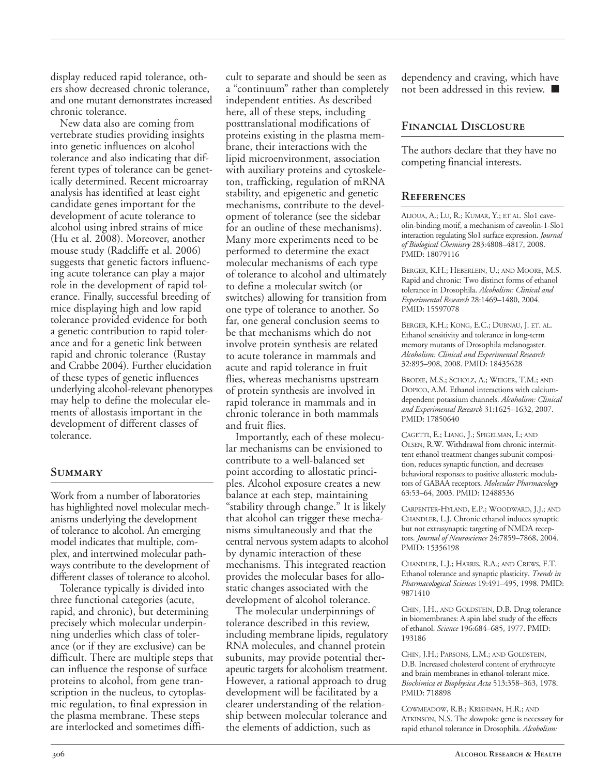display reduced rapid tolerance, others show decreased chronic tolerance, and one mutant demonstrates increased chronic tolerance.

New data also are coming from vertebrate studies providing insights into genetic influences on alcohol tolerance and also indicating that different types of tolerance can be genetically determined. Recent microarray analysis has identified at least eight candidate genes important for the development of acute tolerance to alcohol using inbred strains of mice (Hu et al. 2008). Moreover, another mouse study (Radcliffe et al. 2006) suggests that genetic factors influencing acute tolerance can play a major role in the development of rapid tolerance. Finally, successful breeding of mice displaying high and low rapid tolerance provided evidence for both a genetic contribution to rapid tolerance and for a genetic link between rapid and chronic tolerance (Rustay and Crabbe 2004). Further elucidation of these types of genetic influences underlying alcohol-relevant phenotypes may help to define the molecular elements of allostasis important in the development of different classes of tolerance.

## **Summary**

Work from a number of laboratories has highlighted novel molecular mechanisms underlying the development of tolerance to alcohol. An emerging model indicates that multiple, complex, and intertwined molecular pathways contribute to the development of different classes of tolerance to alcohol.

Tolerance typically is divided into three functional categories (acute, rapid, and chronic), but determining precisely which molecular underpinning underlies which class of tolerance (or if they are exclusive) can be difficult. There are multiple steps that can influence the response of surface proteins to alcohol, from gene transcription in the nucleus, to cytoplasmic regulation, to final expression in the plasma membrane. These steps are interlocked and sometimes diffi-

cult to separate and should be seen as a "continuum" rather than completely independent entities. As described here, all of these steps, including posttranslational modifications of proteins existing in the plasma membrane, their interactions with the lipid microenvironment, association with auxiliary proteins and cytoskeleton, trafficking, regulation of mRNA stability, and epigenetic and genetic mechanisms, contribute to the development of tolerance (see the sidebar for an outline of these mechanisms). Many more experiments need to be performed to determine the exact molecular mechanisms of each type of tolerance to alcohol and ultimately to define a molecular switch (or switches) allowing for transition from one type of tolerance to another. So far, one general conclusion seems to be that mechanisms which do not involve protein synthesis are related to acute tolerance in mammals and acute and rapid tolerance in fruit flies, whereas mechanisms upstream of protein synthesis are involved in rapid tolerance in mammals and in chronic tolerance in both mammals and fruit flies.

Importantly, each of these molecular mechanisms can be envisioned to contribute to a well-balanced set point according to allostatic principles. Alcohol exposure creates a new balance at each step, maintaining "stability through change." It is likely that alcohol can trigger these mechanisms simultaneously and that the central nervous systemadapts to alcohol by dynamic interaction of these mechanisms. This integrated reaction provides the molecular bases for allostatic changes associated with the development of alcohol tolerance.

The molecular underpinnings of tolerance described in this review, including membrane lipids, regulatory RNA molecules, and channel protein subunits, may provide potential therapeutic targets for alcoholism treatment. However, a rational approach to drug development will be facilitated by a clearer understanding of the relationship between molecular tolerance and the elements of addiction, such as

dependency and craving, which have not been addressed in this review. ■

## **Financial Disclosure**

The authors declare that they have no competing financial interests.

#### **References**

ALIOUA, A.; LU, R.; KUMAR, Y.; ET AL*.* Slo1 caveolin-binding motif, a mechanism of caveolin-1-Slo1 interaction regulating Slo1 surface expression. *Journal of Biological Chemistry* 283:4808–4817, 2008. PMID: 18079116

BERGER, K.H.; HEBERLEIN, U.; AND MOORE, M.S. Rapid and chronic: Two distinct forms of ethanol tolerance in Drosophila. *Alcoholism: Clinical and Experimental Research* 28:1469–1480, 2004. PMID: 15597078

BERGER, K.H.; KONG, E.C.; DUBNAU, J. ET. AL. Ethanol sensitivity and tolerance in long-term memory mutants of Drosophila melanogaster. *Alcoholism: Clinical and Experimental Research* 32:895–908, 2008. PMID: 18435628

BRODIE, M.S.; SCHOLZ, A.; WEIGER, T.M.; AND DOPICO, A.M. Ethanol interactions with calciumdependent potassium channels. *Alcoholism: Clinical and Experimental Research* 31:1625–1632, 2007. PMID: 17850640

CAGETTI, E.; LIANG, J.; SPIGELMAN, I.; AND OLSEN, R.W. Withdrawal from chronic intermittent ethanol treatment changes subunit composition, reduces synaptic function, and decreases behavioral responses to positive allosteric modulators of GABAA receptors. *Molecular Pharmacology* 63:53–64, 2003. PMID: 12488536

CARPENTER-HYLAND, E.P.; WOODWARD, J.J.; AND CHANDLER, L.J. Chronic ethanol induces synaptic but not extrasynaptic targeting of NMDA receptors. *Journal of Neuroscience* 24:7859–7868, 2004. PMID: 15356198

CHANDLER, L.J.; HARRIS, R.A.; AND CREWS, F.T. Ethanol tolerance and synaptic plasticity. *Trends in Pharmacological Sciences* 19:491–495, 1998. PMID: 9871410

CHIN, J.H., AND GOLDSTEIN, D.B. Drug tolerance in biomembranes: A spin label study of the effects of ethanol. *Science* 196:684–685, 1977. PMID: 193186

CHIN, J.H.; PARSONS, L.M.; AND GOLDSTEIN, D.B. Increased cholesterol content of erythrocyte and brain membranes in ethanol-tolerant mice. *Biochimica et Biophysica Acta* 513:358–363, 1978. PMID: 718898

COWMEADOW, R.B.; KRISHNAN, H.R.; AND ATKINSON, N.S. The slowpoke gene is necessary for rapid ethanol tolerance in Drosophila. *Alcoholism:*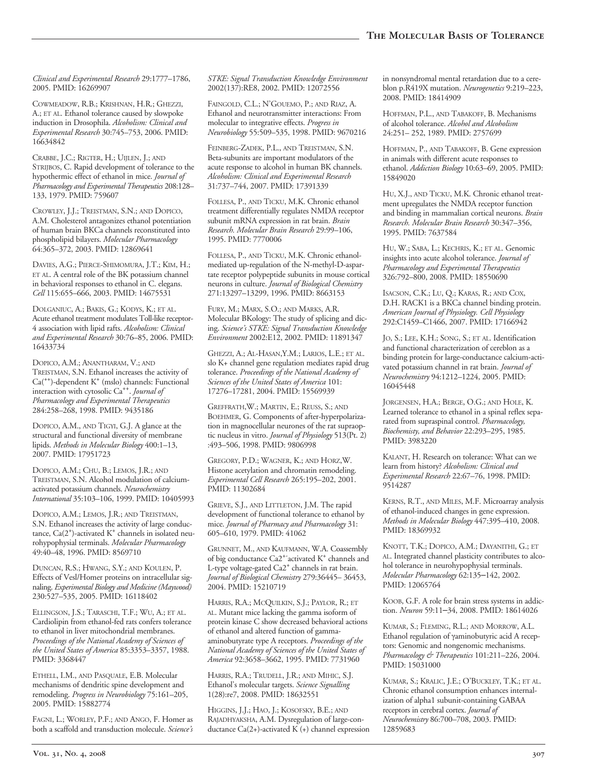*Clinical and Experimental Research* 29:1777–1786, 2005. PMID: 16269907

COWMEADOW, R.B.; KRISHNAN, H.R.; GHEZZI, A.; ET AL. Ethanol tolerance caused by slowpoke induction in Drosophila. *Alcoholism: Clinical and Experimental Research* 30:745–753, 2006. PMID: 16634842

CRABBE, J.C.; RIGTER, H.; UIJLEN, J.; AND STRIJBOS, C. Rapid development of tolerance to the hypothermic effect of ethanol in mice. *Journal of Pharmacology and Experimental Therapeutics* 208:128– 133, 1979. PMID: 759607

CROWLEY, J.J.; TREISTMAN, S.N.; AND DOPICO, A.M. Cholesterol antagonizes ethanol potentiation of human brain BKCa channels reconstituted into phospholipid bilayers. *Molecular Pharmacology* 64:365–372, 2003. PMID: 12869641

DAVIES, A.G.; PIERCE-SHIMOMURA, J.T.; KIM, H.; ET AL. A central role of the BK potassium channel in behavioral responses to ethanol in C. elegans. *Cell* 115:655–666, 2003. PMID: 14675531

DOLGANIUC, A.; BAKIS, G.; KODYS, K.; ET AL. Acute ethanol treatment modulates Toll-like receptor-4 association with lipid rafts. *Alcoholism: Clinical and Experimental Research* 30:76–85, 2006. PMID: 16433734

DOPICO, A.M.; ANANTHARAM, V.; AND TREISTMAN, S.N. Ethanol increases the activity of  $Ca<sup>(++</sup>)-dependent K<sup>+</sup> (mslo) channels: Functional$ interaction with cytosolic Ca++. *Journal of Pharmacology and Experimental Therapeutics* 284:258–268, 1998. PMID: 9435186

DOPICO, A.M., AND TIGYI, G.J. A glance at the structural and functional diversity of membrane lipids. *Methods in Molecular Biology* 400:1–13, 2007. PMID: 17951723

DOPICO, A.M.; CHU, B.; LEMOS, J.R.; AND TREISTMAN, S.N. Alcohol modulation of calciumactivated potassium channels. *Neurochemistry International* 35:103–106, 1999. PMID: 10405993

DOPICO, A.M.; LEMOS, J.R.; AND TREISTMAN, S.N. Ethanol increases the activity of large conductance,  $Ca(2^{+})$ -activated  $K^{+}$  channels in isolated neurohypophysial terminals. *Molecular Pharmacology* 49:40–48, 1996. PMID: 8569710

DUNCAN, R.S.; HWANG, S.Y.; AND KOULEN, P. Effects of Vesl/Homer proteins on intracellular signaling. *Experimental Biology and Medicine (Maywood)* 230:527–535, 2005. PMID: 16118402

ELLINGSON, J.S.; TARASCHI, T.F.; WU, A.; ET AL. Cardiolipin from ethanol-fed rats confers tolerance to ethanol in liver mitochondrial membranes. *Proceedings of the National Academy of Sciences of the United States of America* 85:3353–3357, 1988. PMID: 3368447

ETHELL, I.M., AND PASQUALE, E.B. Molecular mechanisms of dendritic spine development and remodeling. *Progress in Neurobiology* 75:161–205, 2005. PMID: 15882774

FAGNI, L.; WORLEY, P.F.; AND ANGO, F. Homer as both a scaffold and transduction molecule. *Science's* *STKE: Signal Transduction Knowledge Environment* 2002(137):RE8, 2002. PMID: 12072556

FAINGOLD, C.L.; N'GOUEMO, P.; AND RIAZ, A. Ethanol and neurotransmitter interactions: From molecular to integrative effects. *Progress in Neurobiology* 55:509–535, 1998. PMID: 9670216

FEINBERG-ZADEK, P.L., AND TREISTMAN, S.N. Beta-subunits are important modulators of the acute response to alcohol in human BK channels. *Alcoholism: Clinical and Experimental Research* 31:737–744, 2007. PMID: 17391339

FOLLESA, P., AND TICKU, M.K. Chronic ethanol treatment differentially regulates NMDA receptor subunit mRNA expression in rat brain. *Brain Research. Molecular Brain Research* 29:99–106, 1995. PMID: 7770006

FOLLESA, P., AND TICKU, M.K. Chronic ethanolmediated up-regulation of the N-methyl-D-aspartate receptor polypeptide subunits in mouse cortical neurons in culture. *Journal of Biological Chemistry* 271:13297–13299, 1996. PMID: 8663153

FURY, M.; MARX, S.O.; AND MARKS, A.R. Molecular BKology: The study of splicing and dicing. *Science's STKE: Signal Transduction Knowledge Environment* 2002:E12, 2002. PMID: 11891347

GHEZZI, A.; AL-HASAN, Y.M.; LARIOS, L.E.; ET AL. slo K+ channel gene regulation mediates rapid drug tolerance. *Proceedings of the National Academy of Sciences of the United States of America* 101: 17276–17281, 2004. PMID: 15569939

GREFFRATH,W.; MARTIN, E.; REUSS, S.; AND BOEHMER, G. Components of after-hyperpolarization in magnocellular neurones of the rat supraoptic nucleus in vitro. *Journal of Physiology* 513(Pt. 2) :493–506, 1998. PMID: 9806998

GREGORY, P.D.; WAGNER, K.; AND HORZ,W. Histone acetylation and chromatin remodeling. *Experimental Cell Research* 265:195–202, 2001. PMID: 11302684

GRIEVE, S.J., AND LITTLETON, J.M. The rapid development of functional tolerance to ethanol by mice. *Journal of Pharmacy and Pharmacology* 31: 605–610, 1979. PMID: 41062

GRUNNET, M., AND KAUFMANN, W.A. Coassembly of big conductance Ca2<sup>+-</sup>activated K<sup>+</sup> channels and L-type voltage-gated Ca2<sup>+</sup> channels in rat brain. *Journal of Biological Chemistry* 279:36445– 36453, 2004. PMID: 15210719

HARRIS, R.A.; MCQUILKIN, S.J.; PAYLOR, R.; ET AL. Mutant mice lacking the gamma isoform of protein kinase C show decreased behavioral actions of ethanol and altered function of gammaaminobutyrate type A receptors. *Proceedings of the National Academy of Sciences of the United States of America* 92:3658–3662, 1995. PMID: 7731960

HARRIS, R.A.; TRUDELL, J.R.; AND MIHIC, S.J. Ethanol's molecular targets. *Science Signalling* 1(28):re7, 2008. PMID: 18632551

HIGGINS, J.J.; HAO, J.; KOSOFSKY, B.E.; AND RAJADHYAKSHA, A.M. Dysregulation of large-conductance Ca(2+)-activated K  $(+)$  channel expression in nonsyndromal mental retardation due to a cereblon p.R419X mutation. *Neurogenetics* 9:219–223, 2008. PMID: 18414909

HOFFMAN, P.L., AND TABAKOFF, B. Mechanisms of alcohol tolerance. *Alcohol and Alcoholism* 24:251– 252, 1989. PMID: 2757699

HOFFMAN, P., AND TABAKOFF, B. Gene expression in animals with different acute responses to ethanol. *Addiction Biology* 10:63–69, 2005. PMID: 15849020

HU, X.J., AND TICKU, M.K. Chronic ethanol treatment upregulates the NMDA receptor function and binding in mammalian cortical neurons. *Brain Research. Molecular Brain Research* 30:347–356, 1995. PMID: 7637584

HU, W.; SABA, L.; KECHRIS, K.; ET AL. Genomic insights into acute alcohol tolerance. *Journal of Pharmacology and Experimental Therapeutics* 326:792–800, 2008. PMID: 18550690

ISACSON, C.K.; LU, Q.; KARAS, R.; AND COX, D.H. RACK1 is a BKCa channel binding protein. *American Journal of Physiology. Cell Physiology* 292:C1459–C1466, 2007. PMID: 17166942

JO, S.; LEE, K.H.; SONG, S.; ET AL. Identification and functional characterization of cereblon as a binding protein for large-conductance calcium-activated potassium channel in rat brain. *Journal of Neurochemistry* 94:1212–1224, 2005. PMID: 16045448

JORGENSEN, H.A.; BERGE, O.G.; AND HOLE, K. Learned tolerance to ethanol in a spinal reflex separated from supraspinal control. *Pharmacology, Biochemisty, and Behavior* 22:293–295, 1985. PMID: 3983220

KALANT, H. Research on tolerance: What can we learn from history? *Alcoholism: Clinical and Experimental Research* 22:67–76, 1998. PMID: 9514287

KERNS, R.T., AND MILES, M.F. Microarray analysis of ethanol-induced changes in gene expression. *Methods in Molecular Biology* 447:395–410, 2008. PMID: 18369932

KNOTT, T.K.; DOPICO, A.M.; DAYANITHI, G.; ET AL. Integrated channel plasticity contributes to alcohol tolerance in neurohypophysial terminals. *Molecular Pharmacology* 62:135–142, 2002. PMID: 12065764

KOOB, G.F. A role for brain stress systems in addiction. *Neuron* 59:11–34, 2008. PMID: 18614026

KUMAR, S.; FLEMING, R.L.; AND MORROW, A.L. Ethanol regulation of γaminobutyric acid A receptors: Genomic and nongenomic mechanisms. *Pharmacology & Therapeutics* 101:211–226, 2004. PMID: 15031000

KUMAR, S.; KRALIC, J.E.; O'BUCKLEY, T.K.; ET AL. Chronic ethanol consumption enhances internalization of alpha1 subunit-containing GABAA receptors in cerebral cortex. *Journal of Neurochemistry* 86:700–708, 2003. PMID: 12859683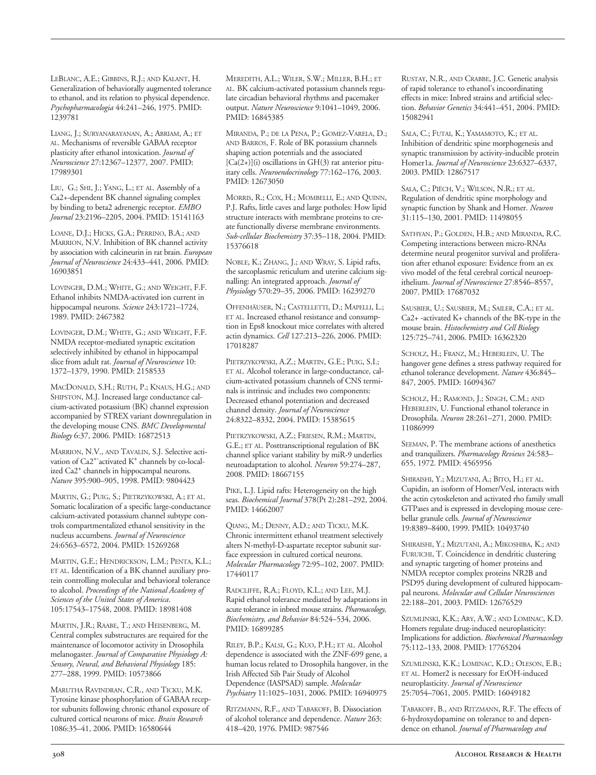LEBLANC, A.E.; GIBBINS, R.J.; AND KALANT, H. Generalization of behaviorally augmented tolerance to ethanol, and its relation to physical dependence. *Psychopharmacologia* 44:241–246, 1975. PMID: 1239781

LIANG, J.; SURYANARAYANAN, A.; ABRIAM, A.; ET AL. Mechanisms of reversible GABAA receptor plasticity after ethanol intoxication. *Journal of Neuroscience* 27:12367–12377, 2007. PMID: 17989301

LIU, G.; SHI, J.; YANG, L.; ET AL*.* Assembly of a Ca2+-dependent BK channel signaling complex by binding to beta2 adrenergic receptor. *EMBO Journal* 23:2196–2205, 2004. PMID: 15141163

LOANE, D.J.; HICKS, G.A.; PERRINO, B.A.; AND MARRION, N.V. Inhibition of BK channel activity by association with calcineurin in rat brain. *European Journal of Neuroscience* 24:433–441, 2006. PMID: 16903851

LOVINGER, D.M.; WHITE, G.; AND WEIGHT, F.F. Ethanol inhibits NMDA-activated ion current in hippocampal neurons. *Science* 243:1721–1724, 1989. PMID: 2467382

LOVINGER, D.M.; WHITE, G.; AND WEIGHT, F.F. NMDA receptor-mediated synaptic excitation selectively inhibited by ethanol in hippocampal slice from adult rat. *Journal of Neuroscience* 10: 1372–1379, 1990. PMID: 2158533

MACDONALD, S.H.; RUTH, P.; KNAUS, H.G.; AND SHIPSTON, M.J. Increased large conductance calcium-activated potassium (BK) channel expression accompanied by STREX variant downregulation in the developing mouse CNS. *BMC Developmental Biology* 6:37, 2006. PMID: 16872513

MARRION, N.V., AND TAVALIN, S.J. Selective activation of Ca2<sup>+-</sup>activated K<sup>+</sup> channels by co-localized Ca2<sup>+</sup> channels in hippocampal neurons. *Nature* 395:900–905, 1998. PMID: 9804423

MARTIN, G.; PUIG, S.; PIETRZYKOWSKI, A.; ET AL*.* Somatic localization of a specific large-conductance calcium-activated potassium channel subtype controls compartmentalized ethanol sensitivity in the nucleus accumbens. *Journal of Neuroscience* 24:6563–6572, 2004. PMID: 15269268

MARTIN, G.E.; HENDRICKSON, L.M.; PENTA, K.L.; ET AL. Identification of a BK channel auxiliary protein controlling molecular and behavioral tolerance to alcohol. *Proceedings of the National Academy of Sciences of the United States of America*. 105:17543–17548, 2008. PMID: 18981408

MARTIN, J.R.; RAABE, T.; AND HEISENBERG, M. Central complex substructures are required for the maintenance of locomotor activity in Drosophila melanogaster. *Journal of Comparative Physiology A: Sensory, Neural, and Behavioral Physiology* 185: 277–288, 1999. PMID: 10573866

MARUTHA RAVINDRAN, C.R., AND TICKU, M.K. Tyrosine kinase phosphorylation of GABAA receptor subunits following chronic ethanol exposure of cultured cortical neurons of mice. *Brain Research* 1086:35–41, 2006. PMID: 16580644

MEREDITH, A.L.; WILER, S.W.; MILLER, B.H.; ET AL. BK calcium-activated potassium channels regulate circadian behavioral rhythms and pacemaker output. *Nature Neuroscience* 9:1041–1049, 2006. PMID: 16845385

MIRANDA, P.; DE LA PENA, P.; GOMEZ-VARELA, D.; AND BARROS, F. Role of BK potassium channels shaping action potentials and the associated  $[Ca(2+)](i)$  oscillations in GH(3) rat anterior pituitary cells. *Neuroendocrinology* 77:162–176, 2003. PMID: 12673050

MORRIS, R.; COX, H.; MOMBELLI, E.; AND QUINN, P.J. Rafts, little caves and large potholes: How lipid structure interacts with membrane proteins to create functionally diverse membrane environments. *Subcellular Biochemistry* 37:35–118, 2004. PMID: 15376618

NOBLE, K.; ZHANG, J.; AND WRAY, S. Lipid rafts, the sarcoplasmic reticulum and uterine calcium signalling: An integrated approach. *Journal of Physiology* 570:29–35, 2006. PMID: 16239270

OFFENHÄUSER, N.; CASTELLETTI, D.; MAPELLI, L.; ET AL*.* Increased ethanol resistance and consumption in Eps8 knockout mice correlates with altered actin dynamics. *Cell* 127:213–226, 2006. PMID: 17018287

PIETRZYKOWSKI, A.Z.; MARTIN, G.E.; PUIG, S.I.; ET AL. Alcohol tolerance in large-conductance, calcium-activated potassium channels of CNS terminals is intrinsic and includes two components: Decreased ethanol potentiation and decreased channel density. *Journal of Neuroscience* 24:8322–8332, 2004. PMID: 15385615

PIETRZYKOWSKI, A.Z.; FRIESEN, R.M.; MARTIN, G.E.; ET AL*.* Posttranscriptional regulation of BK channel splice variant stability by miR-9 underlies neuroadaptation to alcohol. *Neuron* 59:274–287, 2008. PMID: 18667155

PIKE, L.J. Lipid rafts: Heterogeneity on the high seas. *Biochemical Journal* 378(Pt 2):281–292, 2004. PMID: 14662007

QIANG, M.; DENNY, A.D.; AND TICKU, M.K. Chronic intermittent ethanol treatment selectively alters N-methyl-D-aspartate receptor subunit surface expression in cultured cortical neurons. *Molecular Pharmacology* 72:95–102, 2007. PMID: 17440117

RADCLIFFE, R.A.; FLOYD, K.L.; AND LEE, M.J. Rapid ethanol tolerance mediated by adaptations in acute tolerance in inbred mouse strains. *Pharmacology*, *Biochemistry, and Behavior* 84:524–534, 2006. PMID: 16899285

RILEY, B.P.; KALSI, G.; KUO, P.H.; ET AL*.* Alcohol dependence is associated with the ZNF-699 gene, a human locus related to Drosophila hangover, in the Irish Affected Sib Pair Study of Alcohol Dependence (IASPSAD) sample. *Molecular Psychiatry* 11:1025–1031, 2006. PMID: 16940975

RITZMANN, R.F., AND TABAKOFF, B. Dissociation of alcohol tolerance and dependence. *Nature* 263: 418–420, 1976. PMID: 987546

RUSTAY, N.R., AND CRABBE, J.C. Genetic analysis of rapid tolerance to ethanol's incoordinating effects in mice: Inbred strains and artificial selection. *Behavior Genetics* 34:441–451, 2004. PMID: 15082941

SALA, C.; FUTAI, K.; YAMAMOTO, K.; ET AL*.* Inhibition of dendritic spine morphogenesis and synaptic transmission by activity-inducible protein Homer1a. *Journal of Neuroscience* 23:6327–6337, 2003. PMID: 12867517

SALA, C.; PIËCH, V.; WILSON, N.R.; ET AL*.* Regulation of dendritic spine morphology and synaptic function by Shank and Homer. *Neuron* 31:115–130, 2001. PMID: 11498055

SATHYAN, P.; GOLDEN, H.B.; AND MIRANDA, R.C. Competing interactions between micro-RNAs determine neural progenitor survival and proliferation after ethanol exposure: Evidence from an ex vivo model of the fetal cerebral cortical neuroepithelium. *Journal of Neuroscience* 27:8546–8557, 2007. PMID: 17687032

SAUSBIER, U.; SAUSBIER, M.; SAILER, C.A.; ET AL*.*  $Ca2+$  -activated  $K+$  channels of the BK-type in the mouse brain. *Histochemistry and Cell Biology* 125:725–741, 2006. PMID: 16362320

SCHOLZ, H.; FRANZ, M.; HEBERLEIN, U. The hangover gene defines a stress pathway required for ethanol tolerance development. *Nature* 436:845– 847, 2005. PMID: 16094367

SCHOLZ, H.; RAMOND, J.; SINGH, C.M.; AND HEBERLEIN, U. Functional ethanol tolerance in Drosophila. *Neuron* 28:261–271, 2000. PMID: 11086999

SEEMAN, P. The membrane actions of anesthetics and tranquilizers. *Pharmacology Reviews* 24:583– 655, 1972. PMID: 4565956

SHIRAISHI, Y.; MIZUTANI, A.; BITO, H.; ET AL*.* Cupidin, an isoform of Homer/Vesl, interacts with the actin cytoskeleton and activated rho family small GTPases and is expressed in developing mouse cerebellar granule cells. *Journal of Neuroscience* 19:8389–8400, 1999. PMID: 10493740

SHIRAISHI, Y.; MIZUTANI, A.; MIKOSHIBA, K.; AND FURUICHI, T. Coincidence in dendritic clustering and synaptic targeting of homer proteins and NMDA receptor complex proteins NR2B and PSD95 during development of cultured hippocampal neurons. *Molecular and Cellular Neurosciences* 22:188–201, 2003. PMID: 12676529

SZUMLINSKI, K.K.; ARY, A.W.; AND LOMINAC, K.D. Homers regulate drug-induced neuroplasticity: Implications for addiction. *Biochemical Pharmacology* 75:112–133, 2008. PMID: 17765204

SZUMLINSKI, K.K.; LOMINAC, K.D.; OLESON, E.B.; ET AL. Homer2 is necessary for EtOH-induced neuroplasticity. *Journal of Neuroscience* 25:7054–7061, 2005. PMID: 16049182

TABAKOFF, B., AND RITZMANN, R.F. The effects of 6hydroxydopamine on tolerance to and dependence on ethanol. *Journal of Pharmacology and*